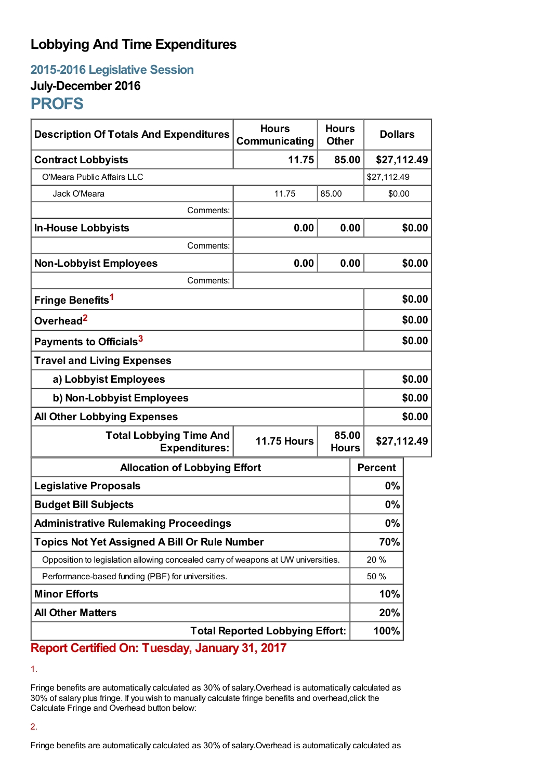## **Lobbying And Time Expenditures**

**2015-2016 Legislative Session July-December 2016**

# **PROFS**

| <b>Description Of Totals And Expenditures</b>                                     | <b>Hours</b><br>Communicating | <b>Hours</b><br><b>Other</b>         |                | <b>Dollars</b> |  |
|-----------------------------------------------------------------------------------|-------------------------------|--------------------------------------|----------------|----------------|--|
| <b>Contract Lobbyists</b>                                                         | 11.75                         | 85.00                                | \$27,112.49    |                |  |
| O'Meara Public Affairs LLC                                                        |                               |                                      |                | \$27,112.49    |  |
| Jack O'Meara                                                                      | 11.75                         | 85.00                                | \$0.00         |                |  |
| Comments:                                                                         |                               |                                      |                |                |  |
| <b>In-House Lobbyists</b>                                                         | 0.00                          | 0.00                                 |                | \$0.00         |  |
| Comments:                                                                         |                               |                                      |                |                |  |
| <b>Non-Lobbyist Employees</b>                                                     | 0.00                          | 0.00                                 |                | \$0.00         |  |
| Comments:                                                                         |                               |                                      |                |                |  |
| Fringe Benefits <sup>1</sup>                                                      |                               |                                      |                | \$0.00         |  |
| Overhead <sup>2</sup>                                                             |                               |                                      |                | \$0.00         |  |
| Payments to Officials <sup>3</sup>                                                |                               |                                      |                | \$0.00         |  |
| <b>Travel and Living Expenses</b>                                                 |                               |                                      |                |                |  |
| a) Lobbyist Employees                                                             |                               |                                      |                | \$0.00         |  |
| b) Non-Lobbyist Employees                                                         |                               |                                      |                | \$0.00         |  |
| <b>All Other Lobbying Expenses</b>                                                |                               |                                      |                | \$0.00         |  |
| <b>Total Lobbying Time And</b><br><b>Expenditures:</b>                            | <b>11.75 Hours</b>            | 85.00<br>\$27,112.49<br><b>Hours</b> |                |                |  |
| <b>Allocation of Lobbying Effort</b>                                              |                               |                                      | <b>Percent</b> |                |  |
| <b>Legislative Proposals</b>                                                      |                               |                                      | 0%             |                |  |
| <b>Budget Bill Subjects</b>                                                       |                               |                                      | 0%             |                |  |
| <b>Administrative Rulemaking Proceedings</b>                                      |                               |                                      | 0%             |                |  |
| <b>Topics Not Yet Assigned A Bill Or Rule Number</b>                              |                               |                                      | 70%            |                |  |
| Opposition to legislation allowing concealed carry of weapons at UW universities. |                               |                                      | 20%            |                |  |
| Performance-based funding (PBF) for universities.                                 |                               |                                      | 50 %           |                |  |
| <b>Minor Efforts</b>                                                              |                               |                                      | 10%            |                |  |
| <b>All Other Matters</b>                                                          |                               |                                      | 20%            |                |  |
| <b>Total Reported Lobbying Effort:</b>                                            |                               |                                      | 100%           |                |  |

### **Report Certified On: Tuesday, January 31, 2017**

1.

Fringe benefits are automatically calculated as 30% of salary.Overhead is automatically calculated as 30% of salary plus fringe. If you wish to manually calculate fringe benefits and overhead,click the Calculate Fringe and Overhead button below:

#### 2.

Fringe benefits are automatically calculated as 30% of salary.Overhead is automatically calculated as